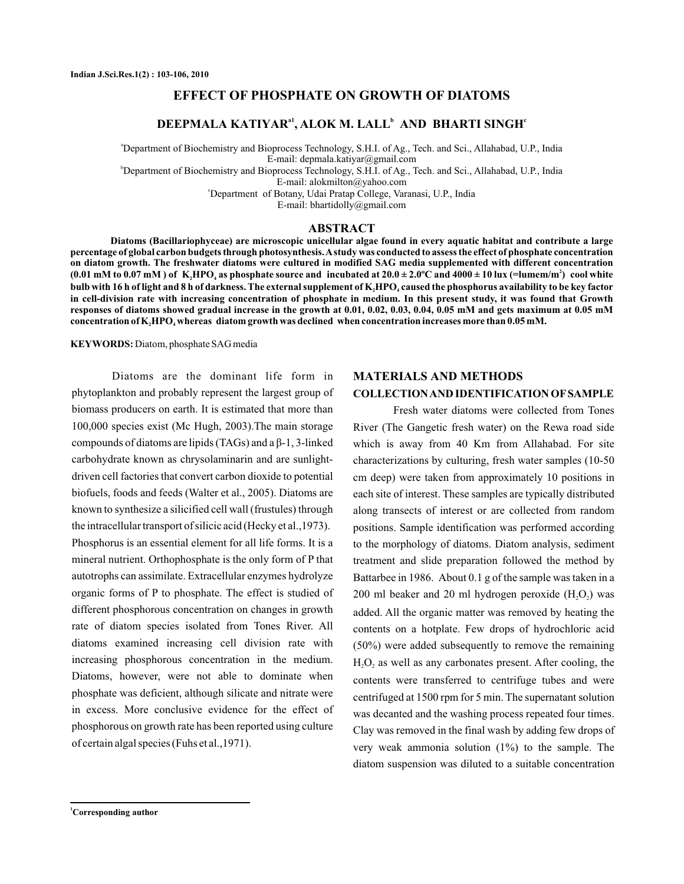# **EFFECT OF PHOSPHATE ON GROWTH OF DIATOMS**

# **DEEPMALA KATIYAR<sup>a1</sup>, ALOK M. LALL<sup>b</sup> AND BHARTI SINGH<sup>c</sup>**

a Department of Biochemistry and Bioprocess Technology, S.H.I. of Ag., Tech. and Sci., Allahabad, U.P., India E-mail: depmala.katiyar@gmail.com

b Department of Biochemistry and Bioprocess Technology, S.H.I. of Ag., Tech. and Sci., Allahabad, U.P., India

E-mail: alokmilton@yahoo.com

c Department of Botany, Udai Pratap College, Varanasi, U.P., India

E-mail: bhartidolly@gmail.com

### **ABSTRACT**

**Diatoms (Bacillariophyceae) are microscopic unicellular algae found in every aquatic habitat and contribute a large percentage of global carbon budgets through photosynthesis.Astudy was conducted to assess the effect of phosphate concentration on diatom growth. The freshwater diatoms were cultured in modified SAG media supplemented with different concentration** (0.01 mM to 0.07 mM ) of  $\rm\, K_iHPO_i$  as phosphate source and  $\rm\, incubated$  at 20.0  $\pm$  2.0°C and 4000  $\pm$  10 lux (=lumem/m $^2)$  cool white bulb with 16 h of light and 8 h of darkness. The external supplement of  $\mathbf{K}_\text{2}$ HPO<sub>4</sub> caused the phosphorus availability to be key factor **in cell-division rate with increasing concentration of phosphate in medium. In this present study, it was found that Growth responses of diatoms showed gradual increase in the growth at 0.01, 0.02, 0.03, 0.04, 0.05 mM and gets maximum at 0.05 mM**  $\bf{concentration of K}_{\bf{2}}\bf{HPO}_{\bf{4}}$  whereas  $\bf{diatom}$  growth was declined  $\bf{when}$  concentration increases more than  $\bf{0.05}$  mM.

**KEYWORDS:** Diatom, phosphate SAG media

Diatoms are the dominant life form in phytoplankton and probably represent the largest group of biomass producers on earth. It is estimated that more than 100,000 species exist (Mc Hugh, 2003) .The main storage biofuels, foods and feeds (Walter et al., 2005). Diatoms are known to synthesize a silicified cell wall (frustules) through the intracellular transport of silicic acid (Hecky et al., 1973). Phosphorus is an essential element for all life forms. It is a mineral nutrient. Orthophosphate is the only form of P that autotrophs can assimilate. Extracellular enzymes hydrolyze organic forms of P to phosphate. The effect is studied of different phosphorous concentration on changes in growth rate of diatom species isolated from Tones River. All diatoms examined increasing cell division rate with increasing phosphorous concentration in the medium. Diatoms, however, were not able to dominate when phosphate was deficient, although silicate and nitrate were in excess. More conclusive evidence for the effect of phosphorous on growth rate has been reported using culture of certain algal species (Fuhs et al., 1971). compounds of diatoms are lipids (TAGs) and a β-1, 3-linked carbohydrate known as chrysolaminarin and are sunlightdriven cell factories that convert carbon dioxide to potential

#### **MATERIALS AND METHODS**

## **COLLECTIONAND IDENTIFICATION OF SAMPLE**

Fresh water diatoms were collected from Tones River (The Gangetic fresh water) on the Rewa road side which is away from 40 Km from Allahabad. For site characterizations by culturing, fresh water samples (10-50 cm deep) were taken from approximately 10 positions in each site of interest. These samples are typically distributed along transects of interest or are collected from random positions. Sample identification was performed according to the morphology of diatoms. Diatom analysis, sediment treatment and slide preparation followed the method by Battarbee in 1986. About 0.1 g of the sample was taken in a 200 ml beaker and 20 ml hydrogen peroxide  $(H_2O_2)$  was added. All the organic matter was removed by heating the contents on a hotplate. Few drops of hydrochloric acid (50%) were added subsequently to remove the remaining  $H_2O_2$  as well as any carbonates present. After cooling, the contents were transferred to centrifuge tubes and were centrifuged at 1500 rpm for 5 min. The supernatant solution was decanted and the washing process repeated four times. Clay was removed in the final wash by adding few drops of very weak ammonia solution (1%) to the sample. The diatom suspension was diluted to a suitable concentration

**<sup>1</sup>Corresponding author**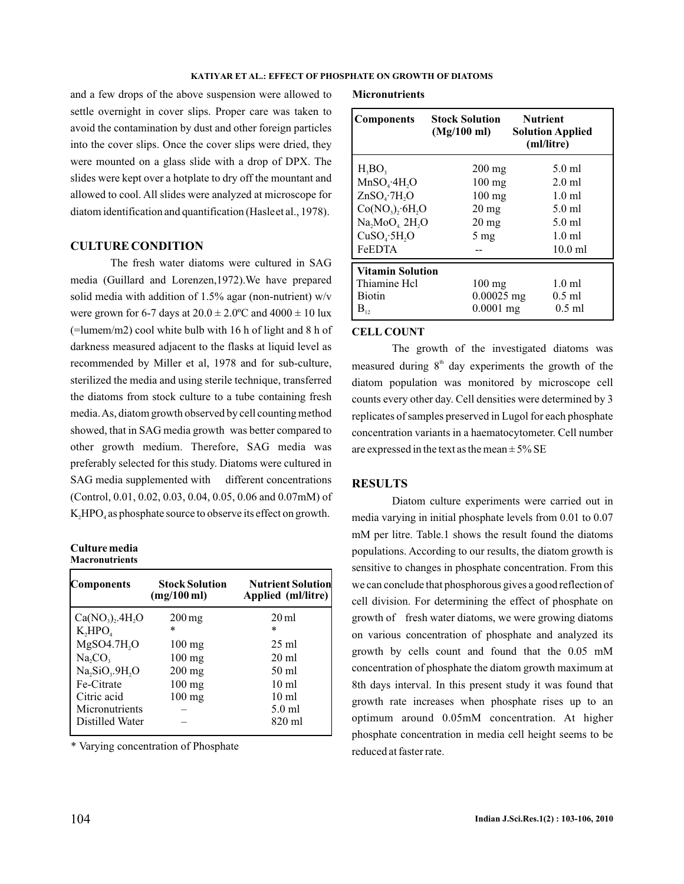#### **KATIYAR ET AL.: EFFECT OF PHOSPHATE ON GROWTH OF DIATOMS**

and a few drops of the above suspension were allowed to settle overnight in cover slips. Proper care was taken to avoid the contamination by dust and other foreign particles into the cover slips. Once the cover slips were dried, they were mounted on a glass slide with a drop of DPX. The slides were kept over a hotplate to dry off the mountant and allowed to cool. All slides were analyzed at microscope for diatom identification and quantification (Hasle et al., 1978).

## **CULTURE CONDITION**

The fresh water diatoms were cultured in SAG media (Guillard and Lorenzen,1972).We have prepared solid media with addition of 1.5% agar (non-nutrient) w/v were grown for 6-7 days at  $20.0 \pm 2.0$ °C and  $4000 \pm 10$  lux (=lumem/m2) cool white bulb with 16 h of light and 8 h of darkness measured adjacent to the flasks at liquid level as recommended by Miller et al, 1978 and for sub-culture, sterilized the media and using sterile technique, transferred the diatoms from stock culture to a tube containing fresh media.As, diatom growth observed by cell counting method showed, that in SAG media growth was better compared to other growth medium. Therefore, SAG media was preferably selected for this study. Diatoms were cultured in SAG media supplemented with different concentrations (Control, 0.01, 0.02, 0.03, 0.04, 0.05, 0.06 and 0.07mM) of  $K<sub>2</sub>HPO<sub>4</sub>$  as phosphate source to observe its effect on growth.

#### **Culture media Macronutrients**

| Components                                          | <b>Stock Solution</b><br>$(mg/100 \,\mathrm{ml})$ | <b>Nutrient Solution</b><br>Applied (ml/litre) |  |
|-----------------------------------------------------|---------------------------------------------------|------------------------------------------------|--|
| $Ca(NO_2), 4H_2O$                                   | $200 \,\mathrm{mg}$                               | $20 \,\mathrm{ml}$                             |  |
| $K,$ HPO <sub>4</sub>                               | ж                                                 | $\ast$                                         |  |
| MgSO4.7H <sub>2</sub> O                             | $100 \text{ mg}$                                  | $25 \text{ ml}$                                |  |
| Na, CO,                                             | $100 \text{ mg}$                                  | $20 \text{ ml}$                                |  |
| Na <sub>2</sub> SiO <sub>3</sub> .9H <sub>2</sub> O | $200 \text{ mg}$                                  | $50 \text{ ml}$                                |  |
| Fe-Citrate                                          | $100 \text{ mg}$                                  | $10 \text{ ml}$                                |  |
| Citric acid                                         | $100 \text{ mg}$                                  | $10 \text{ ml}$                                |  |
| Micronutrients                                      |                                                   | $5.0$ ml                                       |  |
| Distilled Water                                     |                                                   | 820 ml                                         |  |

\* Varying concentration of Phosphate

#### **Micronutrients**

| <b>Components</b>                    | <b>Stock Solution</b><br>$(Mg/100 \text{ ml})$ | <b>Nutrient</b><br><b>Solution Applied</b><br>(ml/litre) |  |  |
|--------------------------------------|------------------------------------------------|----------------------------------------------------------|--|--|
| $H_3BO_3$                            | $200 \,\mathrm{mg}$                            | $5.0$ ml                                                 |  |  |
| $MnSO_4$ ·4H <sub>2</sub> O          | $100 \text{ mg}$                               | $2.0$ ml                                                 |  |  |
| ZnSO <sub>a</sub> ·7H <sub>2</sub> O | $100 \text{ mg}$                               | $1.0 \text{ ml}$                                         |  |  |
| $Co(NO_3), 6H, O$                    | $20 \,\mathrm{mg}$                             | $5.0$ ml                                                 |  |  |
| Na, MoO <sub>4</sub> 2H, O           | $20 \,\mathrm{mg}$                             | $5.0$ ml                                                 |  |  |
| CuSO <sub>4</sub> ·5H <sub>2</sub> O | $5 \text{ mg}$                                 | $1.0 \text{ ml}$                                         |  |  |
| <b>FeEDTA</b>                        |                                                | $10.0$ ml                                                |  |  |
| <b>Vitamin Solution</b>              |                                                |                                                          |  |  |
| Thiamine Hcl                         | $100$ mg                                       | $1.0 \text{ ml}$                                         |  |  |
| <b>Biotin</b>                        | $0.00025$ mg                                   | $0.5$ ml                                                 |  |  |
| $B_{12}$                             | $0.0001$ mg                                    | $0.5$ ml                                                 |  |  |

### **CELL COUNT**

measured during  $8<sup>th</sup>$  day experiments the growth of the The growth of the investigated diatoms was diatom population was monitored by microscope cell counts every other day. Cell densities were determined by 3 replicates of samples preserved in Lugol for each phosphate concentration variants in a haematocytometer. Cell number are expressed in the text as the mean  $\pm$  5% SE

## **RESULTS**

Diatom culture experiments were carried out in media varying in initial phosphate levels from 0.01 to 0.07 mM per litre. Table.1 shows the result found the diatoms populations. According to our results, the diatom growth is sensitive to changes in phosphate concentration. From this we can conclude that phosphorous gives a good reflection of cell division. For determining the effect of phosphate on growth of fresh water diatoms, we were growing diatoms on various concentration of phosphate and analyzed its growth by cells count and found that the 0.05 mM concentration of phosphate the diatom growth maximum at 8th days interval. In this present study it was found that growth rate increases when phosphate rises up to an optimum around 0.05mM concentration. At higher phosphate concentration in media cell height seems to be reduced at faster rate.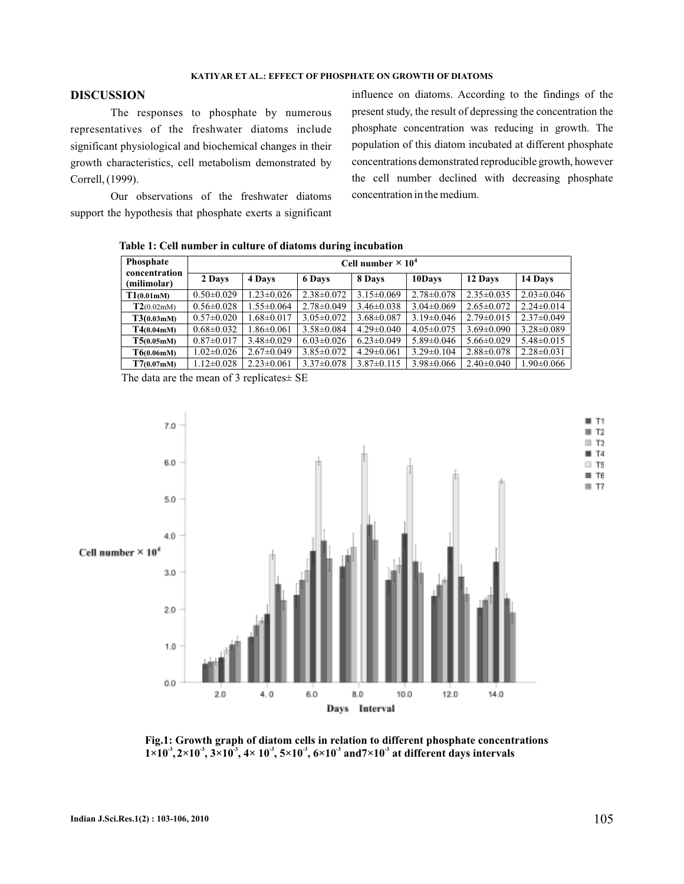### **KATIYAR ET AL.: EFFECT OF PHOSPHATE ON GROWTH OF DIATOMS**

# **DISCUSSION**

The responses to phosphate by numerous representatives of the freshwater diatoms include significant physiological and biochemical changes in their growth characteristics, cell metabolism demonstrated by Correll, (1999).

Our observations of the freshwater diatoms support the hypothesis that phosphate exerts a significant

influence on diatoms. According to the findings of the present study, the result of depressing the concentration the phosphate concentration was reducing in growth. The population of this diatom incubated at different phosphate concentrations demonstrated reproducible growth, however the cell number declined with decreasing phosphate concentration in the medium.

**Table 1: Cell number in culture of diatoms during incubation**

| Phosphate<br>concentration | Cell number $\times 10^4$ |                  |                  |                  |                  |                  |                  |  |
|----------------------------|---------------------------|------------------|------------------|------------------|------------------|------------------|------------------|--|
| (milimolar)                | 2 Days                    | 4 Days           | 6 Days           | 8 Days           | 10Days           | 12 Days          | 14 Days          |  |
| T1(0.01mM)                 | $0.50 \pm 0.029$          | $1.23 \pm 0.026$ | $2.38 \pm 0.072$ | $3.15 \pm 0.069$ | $2.78 \pm 0.078$ | $2.35 \pm 0.035$ | $2.03 \pm 0.046$ |  |
| T2(0.02m)                  | $0.56 \pm 0.028$          | $1.55 \pm 0.064$ | $2.78 \pm 0.049$ | $3.46 \pm 0.038$ | $3.04 \pm 0.069$ | $2.65 \pm 0.072$ | $2.24 \pm 0.014$ |  |
| $T3(0.03 \text{m})$        | $0.57 \pm 0.020$          | $1.68 \pm 0.017$ | $3.05 \pm 0.072$ | $3.68 \pm 0.087$ | $3.19 \pm 0.046$ | $2.79 \pm 0.015$ | $2.37\pm0.049$   |  |
| $T4(0.04 \text{m})$        | $0.68 \pm 0.032$          | $1.86 \pm 0.061$ | $3.58 \pm 0.084$ | $4.29 \pm 0.040$ | $4.05 \pm 0.075$ | $3.69 \pm 0.090$ | $3.28 \pm 0.089$ |  |
| T5(0.05mM)                 | $0.87 \pm 0.017$          | $3.48 \pm 0.029$ | $6.03 \pm 0.026$ | $6.23 \pm 0.049$ | $5.89 \pm 0.046$ | $5.66 \pm 0.029$ | $5.48 \pm 0.015$ |  |
| T6(0.06mM)                 | $1.02 \pm 0.026$          | $2.67 \pm 0.049$ | $3.85 \pm 0.072$ | $4.29 \pm 0.061$ | $3.29 \pm 0.104$ | $2.88 \pm 0.078$ | $2.28 \pm 0.031$ |  |
| T7(0.07mM)                 | $1.12 \pm 0.028$          | $2.23 \pm 0.061$ | $3.37 \pm 0.078$ | $3.87 \pm 0.115$ | $3.98 \pm 0.066$ | $2.40 \pm 0.040$ | $1.90 \pm 0.066$ |  |

The data are the mean of 3 replicates± SE



**Fig.1: Growth graph of diatom cells in relation to different phosphate concentrations**  $1\times10^3$ ,  $2\times10^3$ ,  $3\times10^3$ ,  $4\times10^3$ ,  $5\times10^3$ ,  $6\times10^3$  and  $7\times10^3$  at different days intervals